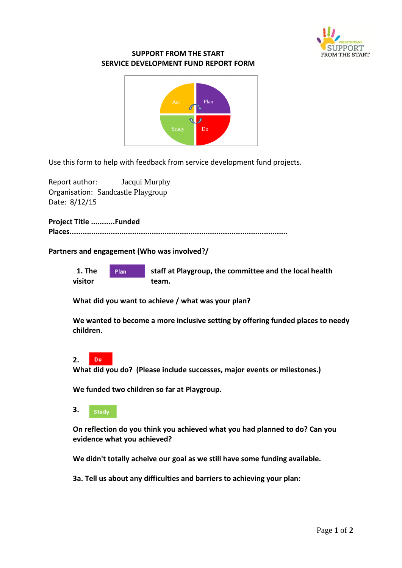

## **SUPPORT FROM THE START SERVICE DEVELOPMENT FUND REPORT FORM**



Use this form to help with feedback from service development fund projects.

Report author: Jacqui Murphy Organisation: Sandcastle Playgroup Date: 8/12/15

**Project Title ...........Funded Places.....................................................................................................**

## **Partners and engagement (Who was involved?/**



**What did you want to achieve / what was your plan?**

**We wanted to become a more inclusive setting by offering funded places to needy children.**

## Do **2.**

**What did you do? (Please include successes, major events or milestones.)**

**We funded two children so far at Playgroup.**

**3.**  Study

**On reflection do you think you achieved what you had planned to do? Can you evidence what you achieved?** 

**We didn't totally acheive our goal as we still have some funding available.**

**3a. Tell us about any difficulties and barriers to achieving your plan:**